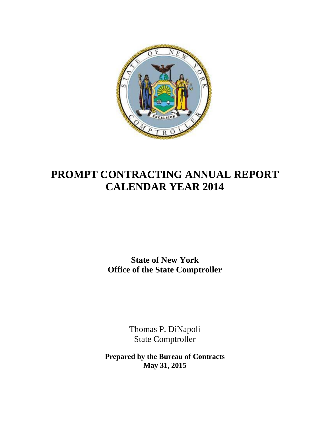

# **PROMPT CONTRACTING ANNUAL REPORT CALENDAR YEAR 2014**

**State of New York Office of the State Comptroller**

> Thomas P. DiNapoli State Comptroller

**Prepared by the Bureau of Contracts May 31, 2015**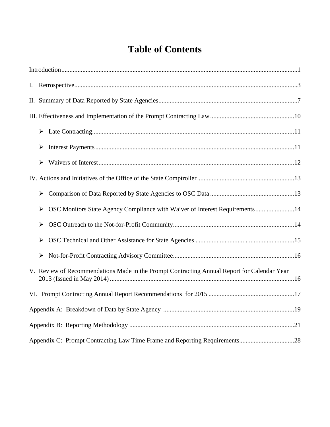# **Table of Contents**

| ➤                                                                                           |
|---------------------------------------------------------------------------------------------|
| ➤                                                                                           |
| $\blacktriangleright$                                                                       |
|                                                                                             |
| ➤                                                                                           |
| OSC Monitors State Agency Compliance with Waiver of Interest Requirements14<br>➤            |
| $\blacktriangleright$                                                                       |
| $\blacktriangleright$                                                                       |
| ➤                                                                                           |
| V. Review of Recommendations Made in the Prompt Contracting Annual Report for Calendar Year |
|                                                                                             |
|                                                                                             |
|                                                                                             |
|                                                                                             |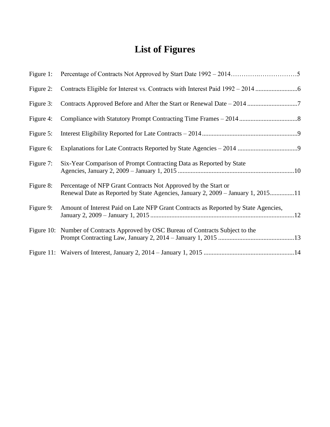# **List of Figures**

| Figure 1: |                                                                                                                                                   |
|-----------|---------------------------------------------------------------------------------------------------------------------------------------------------|
| Figure 2: | Contracts Eligible for Interest vs. Contracts with Interest Paid 1992 - 2014                                                                      |
| Figure 3: |                                                                                                                                                   |
| Figure 4: |                                                                                                                                                   |
| Figure 5: |                                                                                                                                                   |
| Figure 6: |                                                                                                                                                   |
| Figure 7: | Six-Year Comparison of Prompt Contracting Data as Reported by State                                                                               |
| Figure 8: | Percentage of NFP Grant Contracts Not Approved by the Start or<br>Renewal Date as Reported by State Agencies, January 2, 2009 – January 1, 201511 |
| Figure 9: | Amount of Interest Paid on Late NFP Grant Contracts as Reported by State Agencies,                                                                |
|           | Figure 10: Number of Contracts Approved by OSC Bureau of Contracts Subject to the                                                                 |
|           |                                                                                                                                                   |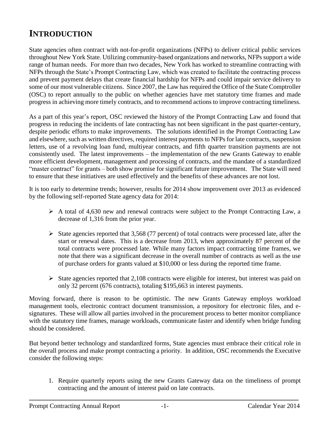# <span id="page-4-0"></span>**INTRODUCTION**

State agencies often contract with not-for-profit organizations (NFPs) to deliver critical public services throughout New York State. Utilizing community-based organizations and networks, NFPs support a wide range of human needs. For more than two decades, New York has worked to streamline contracting with NFPs through the State's Prompt Contracting Law, which was created to facilitate the contracting process and prevent payment delays that create financial hardship for NFPs and could impair service delivery to some of our most vulnerable citizens. Since 2007, the Law has required the Office of the State Comptroller (OSC) to report annually to the public on whether agencies have met statutory time frames and made progress in achieving more timely contracts, and to recommend actions to improve contracting timeliness.

As a part of this year's report, OSC reviewed the history of the Prompt Contracting Law and found that progress in reducing the incidents of late contracting has not been significant in the past quarter-century, despite periodic efforts to make improvements. The solutions identified in the Prompt Contracting Law and elsewhere, such as written directives, required interest payments to NFPs for late contracts, suspension letters, use of a revolving loan fund, multiyear contracts, and fifth quarter transition payments are not consistently used. The latest improvements – the implementation of the new Grants Gateway to enable more efficient development, management and processing of contracts, and the mandate of a standardized "master contract" for grants – both show promise for significant future improvement. The State will need to ensure that these initiatives are used effectively and the benefits of these advances are not lost.

It is too early to determine trends; however, results for 2014 show improvement over 2013 as evidenced by the following self-reported State agency data for 2014:

- $\triangleright$  A total of 4,630 new and renewal contracts were subject to the Prompt Contracting Law, a decrease of 1,316 from the prior year.
- $\triangleright$  State agencies reported that 3,568 (77 percent) of total contracts were processed late, after the start or renewal dates. This is a decrease from 2013, when approximately 87 percent of the total contracts were processed late. While many factors impact contracting time frames, we note that there was a significant decrease in the overall number of contracts as well as the use of purchase orders for grants valued at \$10,000 or less during the reported time frame.
- $\triangleright$  State agencies reported that 2,108 contracts were eligible for interest, but interest was paid on only 32 percent (676 contracts), totaling \$195,663 in interest payments.

Moving forward, there is reason to be optimistic. The new Grants Gateway employs workload management tools, electronic contract document transmission, a repository for electronic files, and esignatures. These will allow all parties involved in the procurement process to better monitor compliance with the statutory time frames, manage workloads, communicate faster and identify when bridge funding should be considered.

But beyond better technology and standardized forms, State agencies must embrace their critical role in the overall process and make prompt contracting a priority. In addition, OSC recommends the Executive consider the following steps:

1. Require quarterly reports using the new Grants Gateway data on the timeliness of prompt contracting and the amount of interest paid on late contracts.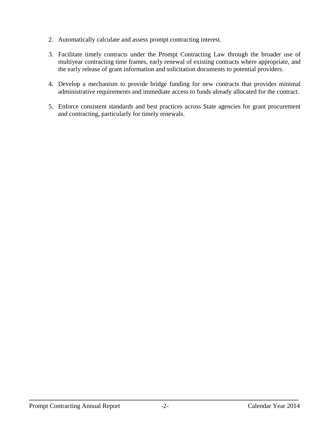- 2. Automatically calculate and assess prompt contracting interest.
- 3. Facilitate timely contracts under the Prompt Contracting Law through the broader use of multiyear contracting time frames, early renewal of existing contracts where appropriate, and the early release of grant information and solicitation documents to potential providers.
- 4. Develop a mechanism to provide bridge funding for new contracts that provides minimal administrative requirements and immediate access to funds already allocated for the contract.
- 5. Enforce consistent standards and best practices across State agencies for grant procurement and contracting, particularly for timely renewals.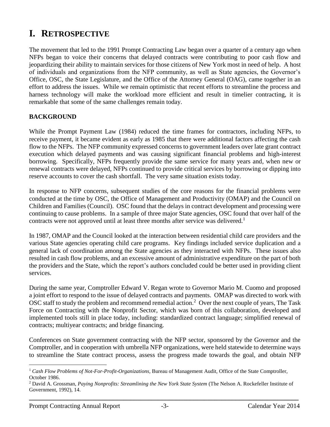# <span id="page-6-0"></span>**I. RETROSPECTIVE**

The movement that led to the 1991 Prompt Contracting Law began over a quarter of a century ago when NFPs began to voice their concerns that delayed contracts were contributing to poor cash flow and jeopardizing their ability to maintain services for those citizens of New York most in need of help. A host of individuals and organizations from the NFP community, as well as State agencies, the Governor's Office, OSC, the State Legislature, and the Office of the Attorney General (OAG), came together in an effort to address the issues. While we remain optimistic that recent efforts to streamline the process and harness technology will make the workload more efficient and result in timelier contracting, it is remarkable that some of the same challenges remain today.

#### **BACKGROUND**

While the Prompt Payment Law (1984) reduced the time frames for contractors, including NFPs, to receive payment, it became evident as early as 1985 that there were additional factors affecting the cash flow to the NFPs. The NFP community expressed concerns to government leaders over late grant contract execution which delayed payments and was causing significant financial problems and high-interest borrowing. Specifically, NFPs frequently provide the same service for many years and, when new or renewal contracts were delayed, NFPs continued to provide critical services by borrowing or dipping into reserve accounts to cover the cash shortfall. The very same situation exists today.

In response to NFP concerns, subsequent studies of the core reasons for the financial problems were conducted at the time by OSC, the Office of Management and Productivity (OMAP) and the Council on Children and Families (Council). OSC found that the delays in contract development and processing were continuing to cause problems. In a sample of three major State agencies, OSC found that over half of the contracts were not approved until at least three months after service was delivered.<sup>1</sup>

In 1987, OMAP and the Council looked at the interaction between residential child care providers and the various State agencies operating child care programs. Key findings included service duplication and a general lack of coordination among the State agencies as they interacted with NFPs. These issues also resulted in cash flow problems, and an excessive amount of administrative expenditure on the part of both the providers and the State, which the report's authors concluded could be better used in providing client services.

During the same year, Comptroller Edward V. Regan wrote to Governor Mario M. Cuomo and proposed a joint effort to respond to the issue of delayed contracts and payments. OMAP was directed to work with OSC staff to study the problem and recommend remedial action.<sup>2</sup> Over the next couple of years, The Task Force on Contracting with the Nonprofit Sector*,* which was born of this collaboration, developed and implemented tools still in place today, including: standardized contract language; simplified renewal of contracts; multiyear contracts; and bridge financing.

Conferences on State government contracting with the NFP sector, sponsored by the Governor and the Comptroller, and in cooperation with umbrella NFP organizations, were held statewide to determine ways to streamline the State contract process, assess the progress made towards the goal, and obtain NFP

 $\overline{a}$ <sup>1</sup> *Cash Flow Problems of Not-For-Profit-Organizations,* Bureau of Management Audit, Office of the State Comptroller, October 1986.

<sup>2</sup> David A. Grossman, *Paying Nonprofits: Streamlining the New York State System* (The Nelson A. Rockefeller Institute of Government, 1992), 14.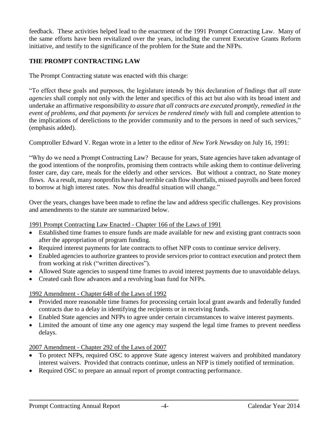feedback. These activities helped lead to the enactment of the 1991 Prompt Contracting Law. Many of the same efforts have been revitalized over the years*,* including the current Executive Grants Reform initiative, and testify to the significance of the problem for the State and the NFPs.

### **THE PROMPT CONTRACTING LAW**

The Prompt Contracting statute was enacted with this charge:

"To effect these goals and purposes, the legislature intends by this declaration of findings that *all state agencies* shall comply not only with the letter and specifics of this act but also with its broad intent and undertake an affirmative responsibility *to assure that all contracts are executed promptly, remedied in the event of problems, and that payments for services be rendered timely* with full and complete attention to the implications of derelictions to the provider community and to the persons in need of such services," (emphasis added).

Comptroller Edward V. Regan wrote in a letter to the editor of *New York Newsday* on July 16, 1991:

"Why do we need a Prompt Contracting Law? Because for years, State agencies have taken advantage of the good intentions of the nonprofits, promising them contracts while asking them to continue delivering foster care, day care, meals for the elderly and other services. But without a contract, no State money flows. As a result, many nonprofits have had terrible cash flow shortfalls, missed payrolls and been forced to borrow at high interest rates. Now this dreadful situation will change."

Over the years, changes have been made to refine the law and address specific challenges. Key provisions and amendments to the statute are summarized below.

#### 1991 Prompt Contracting Law Enacted - Chapter 166 of the Laws of 1991

- Established time frames to ensure funds are made available for new and existing grant contracts soon after the appropriation of program funding.
- Required interest payments for late contracts to offset NFP costs to continue service delivery.
- Enabled agencies to authorize grantees to provide services prior to contract execution and protect them from working at risk ("written directives").
- Allowed State agencies to suspend time frames to avoid interest payments due to unavoidable delays.
- Created cash flow advances and a revolving loan fund for NFPs.

### 1992 Amendment - Chapter 648 of the Laws of 1992

- Provided more reasonable time frames for processing certain local grant awards and federally funded contracts due to a delay in identifying the recipients or in receiving funds.
- Enabled State agencies and NFPs to agree under certain circumstances to waive interest payments.
- Limited the amount of time any one agency may suspend the legal time frames to prevent needless delays.

### 2007 Amendment - Chapter 292 of the Laws of 2007

- To protect NFPs, required OSC to approve State agency interest waivers and prohibited mandatory interest waivers. Provided that contracts continue, unless an NFP is timely notified of termination.
- Required OSC to prepare an annual report of prompt contracting performance.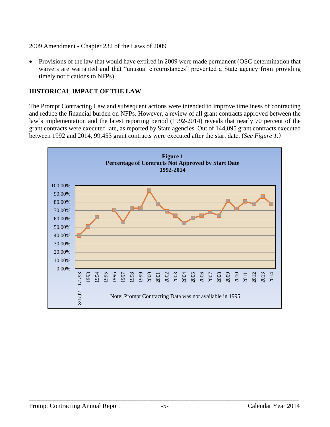#### 2009 Amendment - Chapter 232 of the Laws of 2009

• Provisions of the law that would have expired in 2009 were made permanent (OSC determination that waivers are warranted and that "unusual circumstances" prevented a State agency from providing timely notifications to NFPs).

#### **HISTORICAL IMPACT OF THE LAW**

The Prompt Contracting Law and subsequent actions were intended to improve timeliness of contracting and reduce the financial burden on NFPs. However, a review of all grant contracts approved between the law's implementation and the latest reporting period (1992-2014) reveals that nearly 70 percent of the grant contracts were executed late, as reported by State agencies. Out of 144,095 grant contracts executed between 1992 and 2014, 99,453 grant contracts were executed after the start date. (*See Figure 1.)*

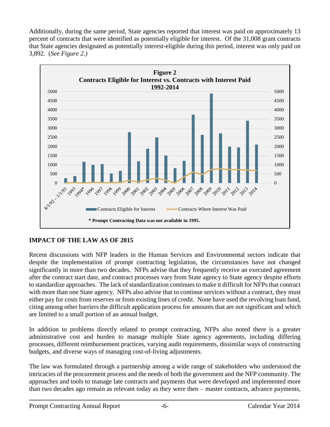Additionally, during the same period, State agencies reported that interest was paid on approximately 13 percent of contracts that were identified as potentially eligible for interest. Of the 31,008 grant contracts that State agencies designated as potentially interest-eligible during this period, interest was only paid on 3,892. (*See Figure 2.)*



### **IMPACT OF THE LAW AS OF 2015**

Recent discussions with NFP leaders in the Human Services and Environmental sectors indicate that despite the implementation of prompt contracting legislation, the circumstances have not changed significantly in more than two decades. NFPs advise that they frequently receive an executed agreement after the contract start date, and contract processes vary from State agency to State agency despite efforts to standardize approaches. The lack of standardization continues to make it difficult for NFPs that contract with more than one State agency. NFPs also advise that to continue services without a contract, they must either pay for costs from reserves or from existing lines of credit. None have used the revolving loan fund, citing among other barriers the difficult application process for amounts that are not significant and which are limited to a small portion of an annual budget.

In addition to problems directly related to prompt contracting, NFPs also noted there is a greater administrative cost and burden to manage multiple State agency agreements, including differing processes, different reimbursement practices, varying audit requirements, dissimilar ways of constructing budgets, and diverse ways of managing cost-of-living adjustments.

The law was formulated through a partnership among a wide range of stakeholders who understood the intricacies of the procurement process and the needs of both the government and the NFP community. The approaches and tools to manage late contracts and payments that were developed and implemented more than two decades ago remain as relevant today as they were then – master contracts, advance payments,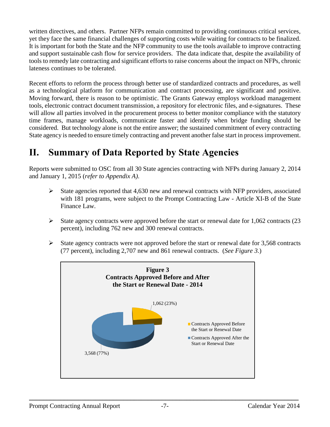written directives, and others. Partner NFPs remain committed to providing continuous critical services, yet they face the same financial challenges of supporting costs while waiting for contracts to be finalized. It is important for both the State and the NFP community to use the tools available to improve contracting and support sustainable cash flow for service providers. The data indicate that, despite the availability of tools to remedy late contracting and significant efforts to raise concerns about the impact on NFPs, chronic lateness continues to be tolerated.

Recent efforts to reform the process through better use of standardized contracts and procedures, as well as a technological platform for communication and contract processing, are significant and positive. Moving forward, there is reason to be optimistic. The Grants Gateway employs workload management tools, electronic contract document transmission, a repository for electronic files, and e-signatures. These will allow all parties involved in the procurement process to better monitor compliance with the statutory time frames, manage workloads, communicate faster and identify when bridge funding should be considered. But technology alone is not the entire answer; the sustained commitment of every contracting State agency is needed to ensure timely contracting and prevent another false start in process improvement.

# <span id="page-10-0"></span>**II. Summary of Data Reported by State Agencies**

Reports were submitted to OSC from all 30 State agencies contracting with NFPs during January 2, 2014 and January 1, 2015 (*refer to Appendix A)*.

- $\triangleright$  State agencies reported that 4,630 new and renewal contracts with NFP providers, associated with 181 programs, were subject to the Prompt Contracting Law - Article XI-B of the State Finance Law.
- $\triangleright$  State agency contracts were approved before the start or renewal date for 1,062 contracts (23 percent), including 762 new and 300 renewal contracts.
- $\triangleright$  State agency contracts were not approved before the start or renewal date for 3,568 contracts (77 percent), including 2,707 new and 861 renewal contracts. (*See Figure 3.*)

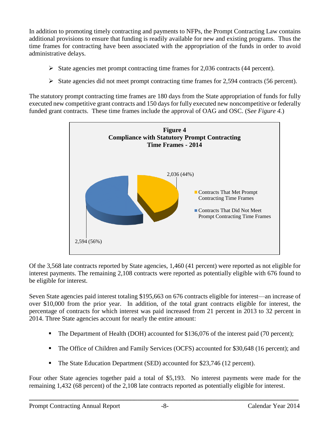In addition to promoting timely contracting and payments to NFPs, the Prompt Contracting Law contains additional provisions to ensure that funding is readily available for new and existing programs. Thus the time frames for contracting have been associated with the appropriation of the funds in order to avoid administrative delays.

- $\triangleright$  State agencies met prompt contracting time frames for 2,036 contracts (44 percent).
- $\triangleright$  State agencies did not meet prompt contracting time frames for 2,594 contracts (56 percent).

The statutory prompt contracting time frames are 180 days from the State appropriation of funds for fully executed new competitive grant contracts and 150 days for fully executed new noncompetitive or federally funded grant contracts. These time frames include the approval of OAG and OSC. (S*ee Figure 4.*)



Of the 3,568 late contracts reported by State agencies, 1,460 (41 percent) were reported as not eligible for interest payments. The remaining 2,108 contracts were reported as potentially eligible with 676 found to be eligible for interest.

Seven State agencies paid interest totaling \$195,663 on 676 contracts eligible for interest—an increase of over \$10,000 from the prior year. In addition, of the total grant contracts eligible for interest, the percentage of contracts for which interest was paid increased from 21 percent in 2013 to 32 percent in 2014. Three State agencies account for nearly the entire amount:

- The Department of Health (DOH) accounted for \$136,076 of the interest paid (70 percent);
- The Office of Children and Family Services (OCFS) accounted for \$30,648 (16 percent); and
- The State Education Department (SED) accounted for \$23,746 (12 percent).

Four other State agencies together paid a total of \$5,193. No interest payments were made for the remaining 1,432 (68 percent) of the 2,108 late contracts reported as potentially eligible for interest.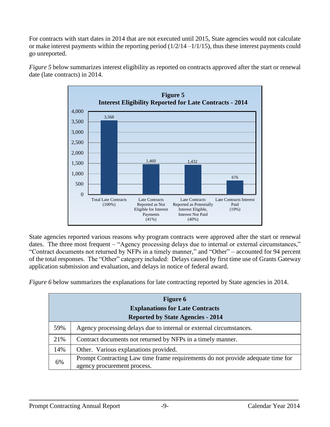For contracts with start dates in 2014 that are not executed until 2015, State agencies would not calculate or make interest payments within the reporting period  $(1/2/14 - 1/1/15)$ , thus these interest payments could go unreported.



*Figure 5* below summarizes interest eligibility as reported on contracts approved after the start or renewal date (late contracts) in 2014.

State agencies reported various reasons why program contracts were approved after the start or renewal dates. The three most frequent – "Agency processing delays due to internal or external circumstances," "Contract documents not returned by NFPs in a timely manner," and "Other" – accounted for 94 percent of the total responses. The "Other" category included: Delays caused by first time use of Grants Gateway application submission and evaluation, and delays in notice of federal award.

*Figure 6* below summarizes the explanations for late contracting reported by State agencies in 2014.

|     | <b>Figure 6</b>                                                                                                |  |  |  |  |  |  |  |  |  |
|-----|----------------------------------------------------------------------------------------------------------------|--|--|--|--|--|--|--|--|--|
|     | <b>Explanations for Late Contracts</b>                                                                         |  |  |  |  |  |  |  |  |  |
|     | <b>Reported by State Agencies - 2014</b>                                                                       |  |  |  |  |  |  |  |  |  |
| 59% | Agency processing delays due to internal or external circumstances.                                            |  |  |  |  |  |  |  |  |  |
| 21% | Contract documents not returned by NFPs in a timely manner.                                                    |  |  |  |  |  |  |  |  |  |
| 14% | Other. Various explanations provided.                                                                          |  |  |  |  |  |  |  |  |  |
| 6%  | Prompt Contracting Law time frame requirements do not provide adequate time for<br>agency procurement process. |  |  |  |  |  |  |  |  |  |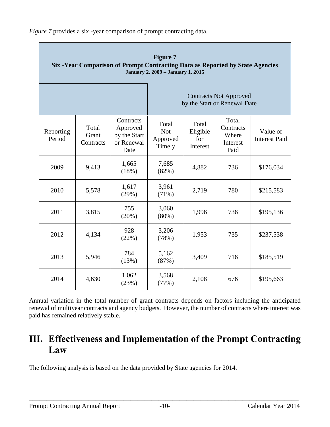*Figure 7* provides a six -year comparison of prompt contracting data.

| <b>Figure 7</b><br>Six -Year Comparison of Prompt Contracting Data as Reported by State Agencies<br><b>January 2, 2009 - January 1, 2015</b> |                             |                                                             |                                           |                                      |                                                               |                                  |  |
|----------------------------------------------------------------------------------------------------------------------------------------------|-----------------------------|-------------------------------------------------------------|-------------------------------------------|--------------------------------------|---------------------------------------------------------------|----------------------------------|--|
|                                                                                                                                              |                             |                                                             |                                           |                                      | <b>Contracts Not Approved</b><br>by the Start or Renewal Date |                                  |  |
| Reporting<br>Period                                                                                                                          | Total<br>Grant<br>Contracts | Contracts<br>Approved<br>by the Start<br>or Renewal<br>Date | Total<br><b>Not</b><br>Approved<br>Timely | Total<br>Eligible<br>for<br>Interest | Total<br>Contracts<br>Where<br>Interest<br>Paid               | Value of<br><b>Interest Paid</b> |  |
| 2009                                                                                                                                         | 9,413                       | 1,665<br>(18%)                                              | 7,685<br>(82%)                            | 4,882                                | 736                                                           | \$176,034                        |  |
| 2010                                                                                                                                         | 5,578                       | 1,617<br>(29%)                                              | 3,961<br>(71%)                            | 2,719                                | 780                                                           | \$215,583                        |  |
| 2011                                                                                                                                         | 3,815                       | 755<br>(20%)                                                | 3,060<br>$(80\%)$                         | 1,996                                | 736                                                           | \$195,136                        |  |
| 2012                                                                                                                                         | 4,134                       | 928<br>(22%)                                                | 3,206<br>(78%)                            | 1,953                                | 735                                                           | \$237,538                        |  |
| 2013                                                                                                                                         | 5,946                       | 784<br>(13%)                                                | 5,162<br>(87%)                            | 3,409                                | 716                                                           | \$185,519                        |  |
| 2014                                                                                                                                         | 4,630                       | 1,062<br>(23%)                                              | 3,568<br>(77%)                            | 2,108                                | 676                                                           | \$195,663                        |  |

Annual variation in the total number of grant contracts depends on factors including the anticipated renewal of multiyear contracts and agency budgets. However, the number of contracts where interest was paid has remained relatively stable.

# <span id="page-13-0"></span>**III. Effectiveness and Implementation of the Prompt Contracting Law**

The following analysis is based on the data provided by State agencies for 2014.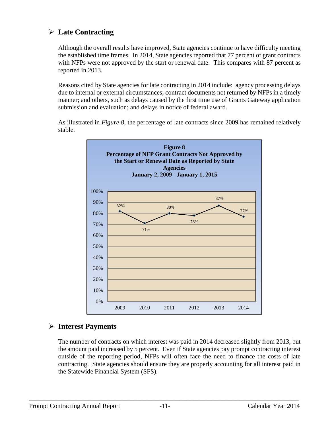## <span id="page-14-0"></span>**Late Contracting**

Although the overall results have improved, State agencies continue to have difficulty meeting the established time frames. In 2014, State agencies reported that 77 percent of grant contracts with NFPs were not approved by the start or renewal date. This compares with 87 percent as reported in 2013.

Reasons cited by State agencies for late contracting in 2014 include: agency processing delays due to internal or external circumstances; contract documents not returned by NFPs in a timely manner; and others, such as delays caused by the first time use of Grants Gateway application submission and evaluation; and delays in notice of federal award.

As illustrated in *Figure 8*, the percentage of late contracts since 2009 has remained relatively stable.



### <span id="page-14-1"></span>**Interest Payments**

The number of contracts on which interest was paid in 2014 decreased slightly from 2013, but the amount paid increased by 5 percent. Even if State agencies pay prompt contracting interest outside of the reporting period, NFPs will often face the need to finance the costs of late contracting. State agencies should ensure they are properly accounting for all interest paid in the Statewide Financial System (SFS).

**\_\_\_\_\_\_\_\_\_\_\_\_\_\_\_\_\_\_\_\_\_\_\_\_\_\_\_\_\_\_\_\_\_\_\_\_\_\_\_\_\_\_\_\_\_\_\_\_\_\_\_\_\_\_\_\_\_\_\_\_\_\_\_\_\_\_\_\_\_\_\_\_\_\_\_\_\_**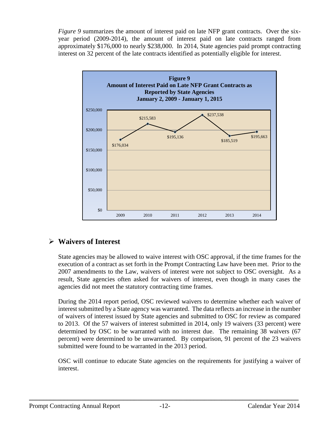*Figure* 9 summarizes the amount of interest paid on late NFP grant contracts. Over the sixyear period (2009-2014), the amount of interest paid on late contracts ranged from approximately \$176,000 to nearly \$238,000. In 2014, State agencies paid prompt contracting interest on 32 percent of the late contracts identified as potentially eligible for interest.



## <span id="page-15-0"></span>**Waivers of Interest**

State agencies may be allowed to waive interest with OSC approval, if the time frames for the execution of a contract as set forth in the Prompt Contracting Law have been met. Prior to the 2007 amendments to the Law, waivers of interest were not subject to OSC oversight. As a result, State agencies often asked for waivers of interest, even though in many cases the agencies did not meet the statutory contracting time frames.

During the 2014 report period, OSC reviewed waivers to determine whether each waiver of interest submitted by a State agency was warranted. The data reflects an increase in the number of waivers of interest issued by State agencies and submitted to OSC for review as compared to 2013. Of the 57 waivers of interest submitted in 2014, only 19 waivers (33 percent) were determined by OSC to be warranted with no interest due. The remaining 38 waivers (67 percent) were determined to be unwarranted. By comparison, 91 percent of the 23 waivers submitted were found to be warranted in the 2013 period.

OSC will continue to educate State agencies on the requirements for justifying a waiver of interest.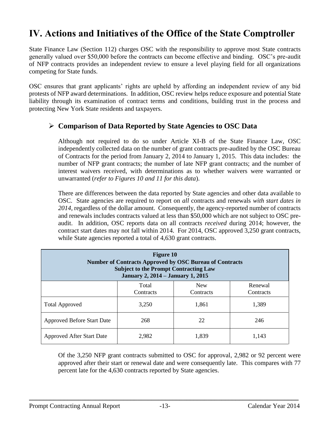# <span id="page-16-0"></span>**IV. Actions and Initiatives of the Office of the State Comptroller**

State Finance Law (Section 112) charges OSC with the responsibility to approve most State contracts generally valued over \$50,000 before the contracts can become effective and binding. OSC's pre-audit of NFP contracts provides an independent review to ensure a level playing field for all organizations competing for State funds.

OSC ensures that grant applicants' rights are upheld by affording an independent review of any bid protests of NFP award determinations. In addition, OSC review helps reduce exposure and potential State liability through its examination of contract terms and conditions, building trust in the process and protecting New York State residents and taxpayers.

### <span id="page-16-1"></span>**Comparison of Data Reported by State Agencies to OSC Data**

 Although not required to do so under Article XI-B of the State Finance Law, OSC independently collected data on the number of grant contracts pre-audited by the OSC Bureau of Contracts for the period from January 2, 2014 to January 1, 2015. This data includes: the number of NFP grant contracts; the number of late NFP grant contracts; and the number of interest waivers received, with determinations as to whether waivers were warranted or unwarranted (*refer to Figures 10 and 11 for this data*).

There are differences between the data reported by State agencies and other data available to OSC. State agencies are required to report on *all* contracts and renewals *with start dates in 2014,* regardless of the dollar amount. Consequently, the agency-reported number of contracts and renewals includes contracts valued at less than \$50,000 which are not subject to OSC preaudit. In addition, OSC reports data on all contracts *received* during 2014; however, the contract start dates may not fall within 2014. For 2014, OSC approved 3,250 grant contracts, while State agencies reported a total of 4,630 grant contracts.

| <b>Figure 10</b><br><b>Number of Contracts Approved by OSC Bureau of Contracts</b><br><b>Subject to the Prompt Contracting Law</b><br><b>January 2, 2014 – January 1, 2015</b> |                    |                         |                      |  |  |  |  |  |
|--------------------------------------------------------------------------------------------------------------------------------------------------------------------------------|--------------------|-------------------------|----------------------|--|--|--|--|--|
|                                                                                                                                                                                | Total<br>Contracts | <b>New</b><br>Contracts | Renewal<br>Contracts |  |  |  |  |  |
| <b>Total Approved</b>                                                                                                                                                          | 3,250              | 1,861                   | 1,389                |  |  |  |  |  |
| <b>Approved Before Start Date</b>                                                                                                                                              | 268                | 22                      | 246                  |  |  |  |  |  |
| <b>Approved After Start Date</b>                                                                                                                                               | 2,982              | 1,839                   | 1,143                |  |  |  |  |  |

Of the 3,250 NFP grant contracts submitted to OSC for approval, 2,982 or 92 percent were approved after their start or renewal date and were consequently late. This compares with 77 percent late for the 4,630 contracts reported by State agencies.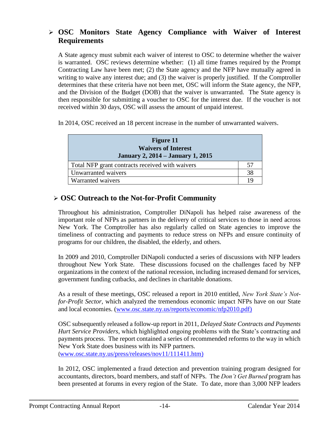### <span id="page-17-0"></span> **OSC Monitors State Agency Compliance with Waiver of Interest Requirements**

A State agency must submit each waiver of interest to OSC to determine whether the waiver is warranted. OSC reviews determine whether: (1) all time frames required by the Prompt Contracting Law have been met; (2) the State agency and the NFP have mutually agreed in writing to waive any interest due; and (3) the waiver is properly justified. If the Comptroller determines that these criteria have not been met, OSC will inform the State agency, the NFP, and the Division of the Budget (DOB) that the waiver is unwarranted. The State agency is then responsible for submitting a voucher to OSC for the interest due. If the voucher is not received within 30 days, OSC will assess the amount of unpaid interest.

In 2014, OSC received an 18 percent increase in the number of unwarranted waivers.

| <b>Figure 11</b><br><b>Waivers of Interest</b><br><b>January 2, 2014 – January 1, 2015</b> |    |
|--------------------------------------------------------------------------------------------|----|
| Total NFP grant contracts received with waivers                                            | 57 |
| Unwarranted waivers                                                                        | 38 |
| Warranted waivers                                                                          | 19 |

### <span id="page-17-1"></span>**OSC Outreach to the Not-for-Profit Community**

Throughout his administration, Comptroller DiNapoli has helped raise awareness of the important role of NFPs as partners in the delivery of critical services to those in need across New York. The Comptroller has also regularly called on State agencies to improve the timeliness of contracting and payments to reduce stress on NFPs and ensure continuity of programs for our children, the disabled, the elderly, and others.

In 2009 and 2010, Comptroller DiNapoli conducted a series of discussions with NFP leaders throughout New York State. These discussions focused on the challenges faced by NFP organizations in the context of the national recession, including increased demand for services, government funding cutbacks, and declines in charitable donations.

As a result of these meetings, OSC released a report in 2010 entitled, *New York State's Notfor-Profit Sector,* which analyzed the tremendous economic impact NFPs have on our State and local economies. [\(www.osc.state.ny.us/reports/economic/nfp2010.pdf\)](http://www.osc.state.ny.us/reports/economic/nfp2010.pdf)

OSC subsequently released a follow-up report in 2011, *Delayed State Contracts and Payments Hurt Service Providers*, which highlighted ongoing problems with the State's contracting and payments process. The report contained a series of recommended reforms to the way in which New York State does business with its NFP partners. ([www.osc.state.ny.us/press/releases/nov11/111411.htm\)](http://www.osc.state.ny.us/press/releases/nov11/111411.htm)

In 2012, OSC implemented a fraud detection and prevention training program designed for accountants, directors, board members, and staff of NFPs. The *Don't Get Burned* program has been presented at forums in every region of the State. To date, more than 3,000 NFP leaders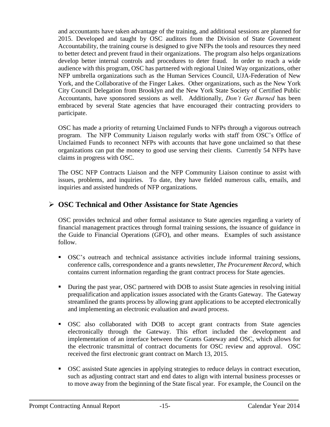and accountants have taken advantage of the training, and additional sessions are planned for 2015. Developed and taught by OSC auditors from the Division of State Government Accountability, the training course is designed to give NFPs the tools and resources they need to better detect and prevent fraud in their organizations. The program also helps organizations develop better internal controls and procedures to deter fraud. In order to reach a wide audience with this program, OSC has partnered with regional United Way organizations, other NFP umbrella organizations such as the Human Services Council, UJA-Federation of New York, and the Collaborative of the Finger Lakes. Other organizations, such as the New York City Council Delegation from Brooklyn and the New York State Society of Certified Public Accountants, have sponsored sessions as well. Additionally, *Don't Get Burned* has been embraced by several State agencies that have encouraged their contracting providers to participate.

OSC has made a priority of returning Unclaimed Funds to NFPs through a vigorous outreach program. The NFP Community Liaison regularly works with staff from OSC's Office of Unclaimed Funds to reconnect NFPs with accounts that have gone unclaimed so that these organizations can put the money to good use serving their clients. Currently 54 NFPs have claims in progress with OSC.

The OSC NFP Contracts Liaison and the NFP Community Liaison continue to assist with issues, problems, and inquiries. To date, they have fielded numerous calls, emails, and inquiries and assisted hundreds of NFP organizations.

### <span id="page-18-0"></span>**OSC Technical and Other Assistance for State Agencies**

OSC provides technical and other formal assistance to State agencies regarding a variety of financial management practices through formal training sessions, the issuance of guidance in the Guide to Financial Operations (GFO), and other means. Examples of such assistance follow.

- OSC's outreach and technical assistance activities include informal training sessions, conference calls, correspondence and a grants newsletter, *The Procurement Record*, which contains current information regarding the grant contract process for State agencies.
- During the past year, OSC partnered with DOB to assist State agencies in resolving initial prequalification and application issues associated with the Grants Gateway. The Gateway streamlined the grants process by allowing grant applications to be accepted electronically and implementing an electronic evaluation and award process.
- OSC also collaborated with DOB to accept grant contracts from State agencies electronically through the Gateway. This effort included the development and implementation of an interface between the Grants Gateway and OSC, which allows for the electronic transmittal of contract documents for OSC review and approval. OSC received the first electronic grant contract on March 13, 2015.
- OSC assisted State agencies in applying strategies to reduce delays in contract execution, such as adjusting contract start and end dates to align with internal business processes or to move away from the beginning of the State fiscal year. For example, the Council on the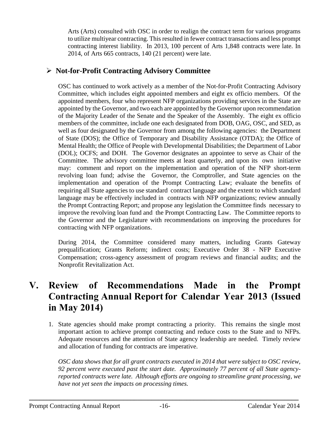Arts (Arts) consulted with OSC in order to realign the contract term for various programs to utilize multiyear contracting. This resulted in fewer contract transactions and less prompt contracting interest liability. In 2013, 100 percent of Arts 1,848 contracts were late. In 2014, of Arts 665 contracts, 140 (21 percent) were late.

## <span id="page-19-0"></span>**Not-for-Profit Contracting Advisory Committee**

OSC has continued to work actively as a member of the Not-for-Profit Contracting Advisory Committee, which includes eight appointed members and eight ex officio members. Of the appointed members, four who represent NFP organizations providing services in the State are appointed by the Governor, and two each are appointed by the Governor upon recommendation of the Majority Leader of the Senate and the Speaker of the Assembly. The eight ex officio members of the committee, include one each designated from DOB, OAG, OSC, and SED, as well as four designated by the Governor from among the following agencies: the Department of State (DOS); the Office of Temporary and Disability Assistance (OTDA); the Office of Mental Health; the Office of People with Developmental Disabilities; the Department of Labor (DOL); OCFS; and DOH. The Governor designates an appointee to serve as Chair of the Committee. The advisory committee meets at least quarterly, and upon its own initiative may: comment and report on the implementation and operation of the NFP short-term revolving loan fund; advise the Governor, the Comptroller, and State agencies on the implementation and operation of the Prompt Contracting Law; evaluate the benefits of requiring all State agencies to use standard contract language and the extent to which standard language may be effectively included in contracts with NFP organizations; review annually the Prompt Contracting Report; and propose any legislation the Committee finds necessary to improve the revolving loan fund and the Prompt Contracting Law. The Committee reports to the Governor and the Legislature with recommendations on improving the procedures for contracting with NFP organizations.

During 2014, the Committee considered many matters, including Grants Gateway prequalification; Grants Reform; indirect costs; Executive Order 38 - NFP Executive Compensation; cross-agency assessment of program reviews and financial audits; and the Nonprofit Revitalization Act.

# <span id="page-19-1"></span>**V. Review of Recommendations Made in the Prompt Contracting Annual Report for Calendar Year 2013 (Issued in May 2014)**

1. State agencies should make prompt contracting a priority. This remains the single most important action to achieve prompt contracting and reduce costs to the State and to NFPs. Adequate resources and the attention of State agency leadership are needed. Timely review and allocation of funding for contracts are imperative.

*OSC data shows that for all grant contracts executed in 2014 that were subject to OSC review, 92 percent were executed past the start date. Approximately 77 percent of all State agencyreported contracts were late. Although efforts are ongoing to streamline grant processing, we have not yet seen the impacts on processing times.*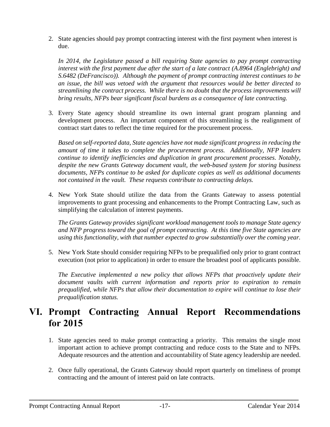2. State agencies should pay prompt contracting interest with the first payment when interest is due.

*In 2014, the Legislature passed a bill requiring State agencies to pay prompt contracting interest with the first payment due after the start of a late contract (A.8964 (Englebright) and S.6482 (DeFrancisco)). Although the payment of prompt contracting interest continues to be an issue, the bill was vetoed with the argument that resources would be better directed to streamlining the contract process. While there is no doubt that the process improvements will bring results, NFPs bear significant fiscal burdens as a consequence of late contracting.*

3. Every State agency should streamline its own internal grant program planning and development process. An important component of this streamlining is the realignment of contract start dates to reflect the time required for the procurement process.

*Based on self-reported data, State agencies have not made significant progress in reducing the amount of time it takes to complete the procurement process. Additionally, NFP leaders continue to identify inefficiencies and duplication in grant procurement processes. Notably, despite the new Grants Gateway document vault, the web-based system for storing business documents, NFPs continue to be asked for duplicate copies as well as additional documents not contained in the vault. These requests contribute to contracting delays.*

4. New York State should utilize the data from the Grants Gateway to assess potential improvements to grant processing and enhancements to the Prompt Contracting Law, such as simplifying the calculation of interest payments.

*The Grants Gateway provides significant workload management tools to manage State agency and NFP progress toward the goal of prompt contracting. At this time five State agencies are using this functionality, with that number expected to grow substantially over the coming year.*

5. New York State should consider requiring NFPs to be prequalified only prior to grant contract execution (not prior to application) in order to ensure the broadest pool of applicants possible.

*The Executive implemented a new policy that allows NFPs that proactively update their document vaults with current information and reports prior to expiration to remain prequalified, while NFPs that allow their documentation to expire will continue to lose their prequalification status.*

# <span id="page-20-0"></span>**VI. Prompt Contracting Annual Report Recommendations for 2015**

- 1. State agencies need to make prompt contracting a priority. This remains the single most important action to achieve prompt contracting and reduce costs to the State and to NFPs. Adequate resources and the attention and accountability of State agency leadership are needed.
- 2. Once fully operational, the Grants Gateway should report quarterly on timeliness of prompt contracting and the amount of interest paid on late contracts.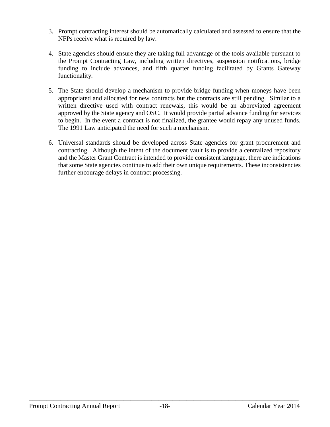- 3. Prompt contracting interest should be automatically calculated and assessed to ensure that the NFPs receive what is required by law.
- 4. State agencies should ensure they are taking full advantage of the tools available pursuant to the Prompt Contracting Law, including written directives, suspension notifications, bridge funding to include advances, and fifth quarter funding facilitated by Grants Gateway functionality.
- 5. The State should develop a mechanism to provide bridge funding when moneys have been appropriated and allocated for new contracts but the contracts are still pending. Similar to a written directive used with contract renewals, this would be an abbreviated agreement approved by the State agency and OSC. It would provide partial advance funding for services to begin. In the event a contract is not finalized, the grantee would repay any unused funds. The 1991 Law anticipated the need for such a mechanism.
- 6. Universal standards should be developed across State agencies for grant procurement and contracting. Although the intent of the document vault is to provide a centralized repository and the Master Grant Contract is intended to provide consistent language, there are indications that some State agencies continue to add their own unique requirements. These inconsistencies further encourage delays in contract processing.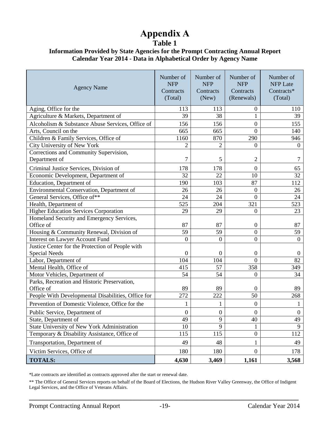# **Appendix A**

**Table 1**

#### <span id="page-22-0"></span>**Information Provided by State Agencies for the Prompt Contracting Annual Report Calendar Year 2014 - Data in Alphabetical Order by Agency Name**

| <b>Agency Name</b>                                 | Number of<br><b>NFP</b><br>Contracts<br>(Total) | Number of<br><b>NFP</b><br>Contracts<br>(New) | Number of<br><b>NFP</b><br>Contracts<br>(Renewals) | Number of<br><b>NFP Late</b><br>Contracts*<br>(Total) |
|----------------------------------------------------|-------------------------------------------------|-----------------------------------------------|----------------------------------------------------|-------------------------------------------------------|
| Aging, Office for the                              | 113                                             | 113                                           | $\overline{0}$                                     | 110                                                   |
| Agriculture & Markets, Department of               | 39                                              | 38                                            | 1                                                  | 39                                                    |
| Alcoholism & Substance Abuse Services, Office of   | 156                                             | 156                                           | $\boldsymbol{0}$                                   | 155                                                   |
| Arts, Council on the                               | 665                                             | 665                                           | $\overline{0}$                                     | 140                                                   |
| Children & Family Services, Office of              | 1160                                            | 870                                           | 290                                                | 946                                                   |
| City University of New York                        | $\overline{2}$                                  | $\overline{2}$                                | $\overline{0}$                                     | $\theta$                                              |
| Corrections and Community Supervision,             |                                                 |                                               |                                                    |                                                       |
| Department of                                      | 7                                               | 5                                             | 2                                                  | 7                                                     |
| Criminal Justice Services, Division of             | 178                                             | 178                                           | $\overline{0}$                                     | 65                                                    |
| Economic Development, Department of                | 32                                              | 22                                            | 10                                                 | 32                                                    |
| Education, Department of                           | 190                                             | 103                                           | 87                                                 | 112                                                   |
| Environmental Conservation, Department of          | 26                                              | 26                                            | $\overline{0}$                                     | 26                                                    |
| General Services, Office of**                      | 24                                              | 24                                            | $\overline{0}$                                     | 24                                                    |
| Health, Department of                              | 525                                             | 204                                           | 321                                                | 523                                                   |
| <b>Higher Education Services Corporation</b>       | 29                                              | 29                                            | $\boldsymbol{0}$                                   | 23                                                    |
| Homeland Security and Emergency Services,          |                                                 |                                               |                                                    |                                                       |
| Office of                                          | 87                                              | 87                                            | $\boldsymbol{0}$                                   | 87                                                    |
| Housing & Community Renewal, Division of           | 59                                              | 59                                            | $\boldsymbol{0}$                                   | 59                                                    |
| <b>Interest on Lawyer Account Fund</b>             | $\overline{0}$                                  | $\boldsymbol{0}$                              | $\boldsymbol{0}$                                   | $\overline{0}$                                        |
| Justice Center for the Protection of People with   |                                                 |                                               |                                                    |                                                       |
| <b>Special Needs</b>                               | $\mathbf{0}$                                    | $\overline{0}$                                | $\overline{0}$                                     | $\boldsymbol{0}$                                      |
| Labor, Department of                               | 104                                             | 104                                           | $\Omega$                                           | 82                                                    |
| Mental Health, Office of                           | 415                                             | 57                                            | 358                                                | 349                                                   |
| Motor Vehicles, Department of                      | 54                                              | 54                                            | $\boldsymbol{0}$                                   | 34                                                    |
| Parks, Recreation and Historic Preservation,       |                                                 |                                               |                                                    |                                                       |
| Office of                                          | 89                                              | 89                                            | $\theta$                                           | 89                                                    |
| People With Developmental Disabilities, Office for | 272                                             | 222                                           | 50                                                 | 268                                                   |
| Prevention of Domestic Violence, Office for the    | 1                                               | 1                                             | $\boldsymbol{0}$                                   | 1                                                     |
| Public Service, Department of                      | $\boldsymbol{0}$                                | $\boldsymbol{0}$                              | $\boldsymbol{0}$                                   | $\boldsymbol{0}$                                      |
| State, Department of                               | 49                                              | 9                                             | 40                                                 | 49                                                    |
| State University of New York Administration        | 10                                              | 9                                             | 1                                                  | 9                                                     |
| Temporary & Disability Assistance, Office of       | 115                                             | 115                                           | $\boldsymbol{0}$                                   | 112                                                   |
| Transportation, Department of                      | 49                                              | 48                                            | 1                                                  | 49                                                    |
| Victim Services, Office of                         | 180                                             | 180                                           | $\overline{0}$                                     | 178                                                   |
| <b>TOTALS:</b>                                     | 4,630                                           | 3,469                                         | 1,161                                              | 3,568                                                 |

\*Late contracts are identified as contracts approved after the start or renewal date.

\*\* The Office of General Services reports on behalf of the Board of Elections, the Hudson River Valley Greenway, the Office of Indigent Legal Services, and the Office of Veterans Affairs.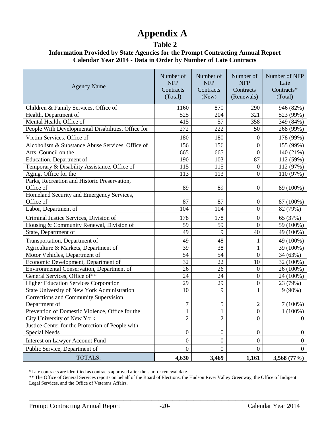# **Appendix A**

### **Table 2**

#### **Information Provided by State Agencies for the Prompt Contracting Annual Report Calendar Year 2014 - Data in Order by Number of Late Contracts**

| <b>Agency Name</b>                                        | Number of<br><b>NFP</b><br>Contracts<br>(Total) | Number of<br><b>NFP</b><br>Contracts<br>(New) | Number of<br><b>NFP</b><br>Contracts<br>(Renewals) | Number of NFP<br>Late<br>Contracts*<br>(Total) |
|-----------------------------------------------------------|-------------------------------------------------|-----------------------------------------------|----------------------------------------------------|------------------------------------------------|
| Children & Family Services, Office of                     | 1160                                            | 870                                           | 290                                                | 946 (82%)                                      |
| Health, Department of                                     | 525                                             | 204                                           | 321                                                | 523 (99%)                                      |
| Mental Health, Office of                                  | 415                                             | 57                                            | 358                                                | 349 (84%)                                      |
| People With Developmental Disabilities, Office for        | 272                                             | 222                                           | 50                                                 | 268 (99%)                                      |
| Victim Services, Office of                                | 180                                             | 180                                           | $\boldsymbol{0}$                                   | 178 (99%)                                      |
| Alcoholism & Substance Abuse Services, Office of          | 156                                             | 156                                           | $\overline{0}$                                     | 155 (99%)                                      |
| Arts, Council on the                                      | 665                                             | 665                                           | $\mathbf{0}$                                       | 140 (21%)                                      |
| Education, Department of                                  | 190                                             | 103                                           | 87                                                 | 112 (59%)                                      |
| Temporary & Disability Assistance, Office of              | 115                                             | 115                                           | $\boldsymbol{0}$                                   | 112 (97%)                                      |
| Aging, Office for the                                     | 113                                             | 113                                           | $\boldsymbol{0}$                                   | 110 (97%)                                      |
| Parks, Recreation and Historic Preservation,<br>Office of | 89                                              | 89                                            | $\boldsymbol{0}$                                   | 89 (100%)                                      |
| Homeland Security and Emergency Services,                 |                                                 |                                               |                                                    |                                                |
| Office of                                                 | 87                                              | 87                                            | $\boldsymbol{0}$                                   | 87 (100%)                                      |
| Labor, Department of                                      | 104                                             | 104                                           | $\overline{0}$                                     | 82 (79%)                                       |
| Criminal Justice Services, Division of                    | 178                                             | 178                                           | $\boldsymbol{0}$                                   | 65 (37%)                                       |
| Housing & Community Renewal, Division of                  | 59                                              | 59                                            | $\boldsymbol{0}$                                   | 59 (100%)                                      |
| State, Department of                                      | 49                                              | 9                                             | 40                                                 | 49 (100%)                                      |
| Transportation, Department of                             | 49                                              | 48                                            | 1                                                  | 49 (100%)                                      |
| Agriculture & Markets, Department of                      | 39                                              | 38                                            | $\mathbf{1}$                                       | 39 (100%)                                      |
| Motor Vehicles, Department of                             | 54                                              | 54                                            | $\overline{0}$                                     | 34 (63%)                                       |
| Economic Development, Department of                       | 32                                              | 22                                            | 10                                                 | 32 (100%)                                      |
| Environmental Conservation, Department of                 | 26                                              | 26                                            | $\boldsymbol{0}$                                   | 26 (100%)                                      |
| General Services, Office of**                             | 24                                              | 24                                            | $\overline{0}$                                     | 24 (100%)                                      |
| <b>Higher Education Services Corporation</b>              | 29                                              | 29                                            | $\boldsymbol{0}$                                   | 23 (79%)                                       |
| State University of New York Administration               | 10                                              | 9                                             | $\mathbf{1}$                                       | $9(90\%)$                                      |
| Corrections and Community Supervision,                    |                                                 |                                               |                                                    |                                                |
| Department of                                             | 7                                               | 5                                             | $\mathbf{2}$                                       | $7(100\%)$                                     |
| Prevention of Domestic Violence, Office for the           | $\,1$                                           | $\mathbf{1}$                                  | $\boldsymbol{0}$                                   | $1(100\%)$                                     |
| City University of New York                               | $\overline{2}$                                  | $\mathfrak{2}$                                | $\boldsymbol{0}$                                   | $\Omega$                                       |
| Justice Center for the Protection of People with          |                                                 |                                               |                                                    |                                                |
| <b>Special Needs</b>                                      | $\boldsymbol{0}$                                | $\boldsymbol{0}$                              | $\boldsymbol{0}$                                   | $\boldsymbol{0}$                               |
| <b>Interest on Lawyer Account Fund</b>                    | $\overline{0}$                                  | $\overline{0}$                                | $\boldsymbol{0}$                                   | $\overline{0}$                                 |
| Public Service, Department of                             | $\overline{0}$                                  | $\mathbf{0}$                                  | $\boldsymbol{0}$                                   | $\theta$                                       |
| <b>TOTALS:</b>                                            | 4,630                                           | 3,469                                         | 1,161                                              | 3,568 (77%)                                    |

\*Late contracts are identified as contracts approved after the start or renewal date.

\*\* The Office of General Services reports on behalf of the Board of Elections, the Hudson River Valley Greenway, the Office of Indigent Legal Services, and the Office of Veterans Affairs.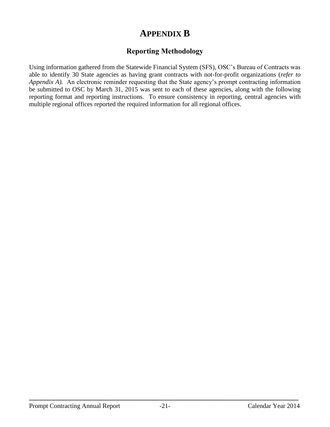## **APPENDIX B**

## **Reporting Methodology**

<span id="page-24-0"></span>Using information gathered from the Statewide Financial System (SFS), OSC's Bureau of Contracts was able to identify 30 State agencies as having grant contracts with not-for-profit organizations (*refer to Appendix A).* An electronic reminder requesting that the State agency's prompt contracting information be submitted to OSC by March 31, 2015 was sent to each of these agencies, along with the following reporting format and reporting instructions. To ensure consistency in reporting, central agencies with multiple regional offices reported the required information for all regional offices.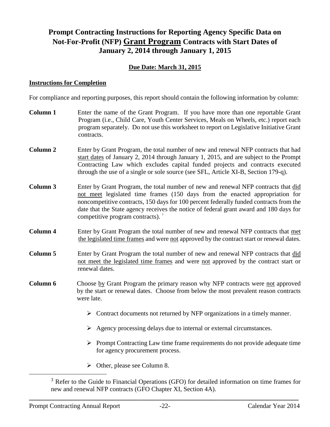## **Prompt Contracting Instructions for Reporting Agency Specific Data on Not-For-Profit (NFP) Grant Program Contracts with Start Dates of January 2, 2014 through January 1, 2015**

### **Due Date: March 31, 2015**

#### **Instructions for Completion**

For compliance and reporting purposes, this report should contain the following information by column:

| <b>Column 1</b> | Enter the name of the Grant Program. If you have more than one reportable Grant<br>Program (i.e., Child Care, Youth Center Services, Meals on Wheels, etc.) report each<br>program separately. Do not use this worksheet to report on Legislative Initiative Grant<br>contracts.                                                                                                                       |  |  |  |  |  |  |  |  |  |
|-----------------|--------------------------------------------------------------------------------------------------------------------------------------------------------------------------------------------------------------------------------------------------------------------------------------------------------------------------------------------------------------------------------------------------------|--|--|--|--|--|--|--|--|--|
| <b>Column 2</b> | Enter by Grant Program, the total number of new and renewal NFP contracts that had<br>start dates of January 2, 2014 through January 1, 2015, and are subject to the Prompt<br>Contracting Law which excludes capital funded projects and contracts executed<br>through the use of a single or sole source (see SFL, Article XI-B, Section 179-q).                                                     |  |  |  |  |  |  |  |  |  |
| Column 3        | Enter by Grant Program, the total number of new and renewal NFP contracts that did<br>not meet legislated time frames (150 days from the enacted appropriation for<br>noncompetitive contracts, 150 days for 100 percent federally funded contracts from the<br>date that the State agency receives the notice of federal grant award and 180 days for<br>competitive program contracts). <sup>3</sup> |  |  |  |  |  |  |  |  |  |
| <b>Column 4</b> | Enter by Grant Program the total number of new and renewal NFP contracts that met<br>the legislated time frames and were not approved by the contract start or renewal dates.                                                                                                                                                                                                                          |  |  |  |  |  |  |  |  |  |
| Column 5        | Enter by Grant Program the total number of new and renewal NFP contracts that did<br>not meet the legislated time frames and were not approved by the contract start or<br>renewal dates.                                                                                                                                                                                                              |  |  |  |  |  |  |  |  |  |
| Column 6        | Choose by Grant Program the primary reason why NFP contracts were not approved<br>by the start or renewal dates. Choose from below the most prevalent reason contracts<br>were late.                                                                                                                                                                                                                   |  |  |  |  |  |  |  |  |  |
|                 | $\triangleright$ Contract documents not returned by NFP organizations in a timely manner.                                                                                                                                                                                                                                                                                                              |  |  |  |  |  |  |  |  |  |
|                 | $\triangleright$ Agency processing delays due to internal or external circumstances.                                                                                                                                                                                                                                                                                                                   |  |  |  |  |  |  |  |  |  |
|                 | $\triangleright$ Prompt Contracting Law time frame requirements do not provide adequate time<br>for agency procurement process.                                                                                                                                                                                                                                                                        |  |  |  |  |  |  |  |  |  |
|                 | $\triangleright$ Other, please see Column 8.                                                                                                                                                                                                                                                                                                                                                           |  |  |  |  |  |  |  |  |  |
|                 | <sup>3</sup> Refer to the Guide to Financial Operations (GFO) for detailed information on time frames for                                                                                                                                                                                                                                                                                              |  |  |  |  |  |  |  |  |  |

new and renewal NFP contracts (GFO Chapter XI, Section 4A).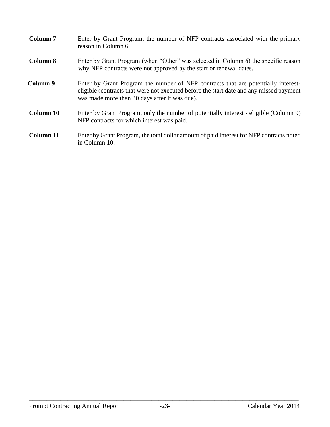| Column <sub>7</sub> | Enter by Grant Program, the number of NFP contracts associated with the primary<br>reason in Column 6.                                                                                                                        |
|---------------------|-------------------------------------------------------------------------------------------------------------------------------------------------------------------------------------------------------------------------------|
| Column 8            | Enter by Grant Program (when "Other" was selected in Column 6) the specific reason<br>why NFP contracts were not approved by the start or renewal dates.                                                                      |
| Column 9            | Enter by Grant Program the number of NFP contracts that are potentially interest-<br>eligible (contracts that were not executed before the start date and any missed payment<br>was made more than 30 days after it was due). |
| Column 10           | Enter by Grant Program, only the number of potentially interest - eligible (Column 9)<br>NFP contracts for which interest was paid.                                                                                           |
| Column 11           | Enter by Grant Program, the total dollar amount of paid interest for NFP contracts noted<br>in Column 10.                                                                                                                     |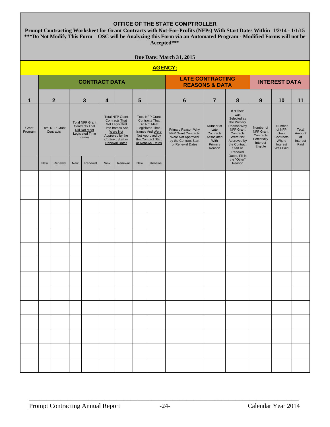| OFFICE OF THE STATE COMPTROLLER |                                                                                                                                                                                                                                                           |                                     |            |                                                                                              |            |                                                                                                                                                                                |                                                                                                                                                                    |                |                                                                                                                    |                                                                              |                                                                                                                                                                             |                                                                                   |                                                                         |                                           |
|---------------------------------|-----------------------------------------------------------------------------------------------------------------------------------------------------------------------------------------------------------------------------------------------------------|-------------------------------------|------------|----------------------------------------------------------------------------------------------|------------|--------------------------------------------------------------------------------------------------------------------------------------------------------------------------------|--------------------------------------------------------------------------------------------------------------------------------------------------------------------|----------------|--------------------------------------------------------------------------------------------------------------------|------------------------------------------------------------------------------|-----------------------------------------------------------------------------------------------------------------------------------------------------------------------------|-----------------------------------------------------------------------------------|-------------------------------------------------------------------------|-------------------------------------------|
|                                 | Prompt Contracting Worksheet for Grant Contracts with Not-For-Profits (NFPs) With Start Dates Within 1/2/14 - 1/1/15<br>***Do Not Modify This Form - OSC will be Analyzing this Form via an Automated Program - Modified Forms will not be<br>Accepted*** |                                     |            |                                                                                              |            |                                                                                                                                                                                |                                                                                                                                                                    |                |                                                                                                                    |                                                                              |                                                                                                                                                                             |                                                                                   |                                                                         |                                           |
|                                 | Due Date: March 31, 2015                                                                                                                                                                                                                                  |                                     |            |                                                                                              |            |                                                                                                                                                                                |                                                                                                                                                                    |                |                                                                                                                    |                                                                              |                                                                                                                                                                             |                                                                                   |                                                                         |                                           |
|                                 |                                                                                                                                                                                                                                                           |                                     |            |                                                                                              |            |                                                                                                                                                                                |                                                                                                                                                                    | <b>AGENCY:</b> |                                                                                                                    |                                                                              |                                                                                                                                                                             |                                                                                   |                                                                         |                                           |
|                                 | <b>CONTRACT DATA</b>                                                                                                                                                                                                                                      |                                     |            |                                                                                              |            |                                                                                                                                                                                |                                                                                                                                                                    |                |                                                                                                                    | <b>LATE CONTRACTING</b><br><b>INTEREST DATA</b><br><b>REASONS &amp; DATA</b> |                                                                                                                                                                             |                                                                                   |                                                                         |                                           |
| 1                               |                                                                                                                                                                                                                                                           | $\mathbf{2}$                        |            | 3                                                                                            | 4          |                                                                                                                                                                                | 5                                                                                                                                                                  |                | 6                                                                                                                  | $\overline{7}$                                                               | 8                                                                                                                                                                           | 9                                                                                 | 10                                                                      | 11                                        |
| Grant<br>Program                |                                                                                                                                                                                                                                                           | <b>Total NFP Grant</b><br>Contracts |            | <b>Total NFP Grant</b><br><b>Contracts That</b><br>Did Not Meet<br>Legislated Time<br>frames |            | <b>Total NFP Grant</b><br><b>Contracts That</b><br><b>Met Legislated</b><br>Time frames And<br>Were Not<br>Approved by the<br><b>Contract Start or</b><br><b>Renewal Dates</b> | <b>Total NFP Grant</b><br><b>Contracts That</b><br>Did Not Meet<br>Legislated Time<br>frames And Were<br>Not Approved by<br>the Contract Start<br>or Renewal Dates |                | Primary Reason Why<br><b>NFP Grant Contracts</b><br>Were Not Approved<br>by the Contract Start<br>or Renewal Dates | Number of<br>Late<br>Contracts<br>Associated<br>With<br>Primary<br>Reason    | If "Other"<br>was<br>Selected as<br>the Primary<br>Reason Why<br>NFP Grant<br>Contracts<br>Were Not<br>Approved by<br>the Contract<br>Start or<br>Renewal<br>Dates, Fill in | Number of<br><b>NFP Grant</b><br>Contracts<br>Potentially<br>Interest<br>Eligible | Number<br>of NFP<br>Grant<br>Contracts<br>Where<br>Interest<br>Was Paid | Total<br>Amount<br>of<br>Interest<br>Paid |
|                                 | <b>New</b>                                                                                                                                                                                                                                                | Renewal                             | <b>New</b> | Renewal                                                                                      | <b>New</b> | Renewal                                                                                                                                                                        | <b>New</b>                                                                                                                                                         | Renewal        |                                                                                                                    |                                                                              | the "Other"<br>Reason                                                                                                                                                       |                                                                                   |                                                                         |                                           |
|                                 |                                                                                                                                                                                                                                                           |                                     |            |                                                                                              |            |                                                                                                                                                                                |                                                                                                                                                                    |                |                                                                                                                    |                                                                              |                                                                                                                                                                             |                                                                                   |                                                                         |                                           |
|                                 |                                                                                                                                                                                                                                                           |                                     |            |                                                                                              |            |                                                                                                                                                                                |                                                                                                                                                                    |                |                                                                                                                    |                                                                              |                                                                                                                                                                             |                                                                                   |                                                                         |                                           |
|                                 |                                                                                                                                                                                                                                                           |                                     |            |                                                                                              |            |                                                                                                                                                                                |                                                                                                                                                                    |                |                                                                                                                    |                                                                              |                                                                                                                                                                             |                                                                                   |                                                                         |                                           |
|                                 |                                                                                                                                                                                                                                                           |                                     |            |                                                                                              |            |                                                                                                                                                                                |                                                                                                                                                                    |                |                                                                                                                    |                                                                              |                                                                                                                                                                             |                                                                                   |                                                                         |                                           |
|                                 |                                                                                                                                                                                                                                                           |                                     |            |                                                                                              |            |                                                                                                                                                                                |                                                                                                                                                                    |                |                                                                                                                    |                                                                              |                                                                                                                                                                             |                                                                                   |                                                                         |                                           |
|                                 |                                                                                                                                                                                                                                                           |                                     |            |                                                                                              |            |                                                                                                                                                                                |                                                                                                                                                                    |                |                                                                                                                    |                                                                              |                                                                                                                                                                             |                                                                                   |                                                                         |                                           |
|                                 |                                                                                                                                                                                                                                                           |                                     |            |                                                                                              |            |                                                                                                                                                                                |                                                                                                                                                                    |                |                                                                                                                    |                                                                              |                                                                                                                                                                             |                                                                                   |                                                                         |                                           |
|                                 |                                                                                                                                                                                                                                                           |                                     |            |                                                                                              |            |                                                                                                                                                                                |                                                                                                                                                                    |                |                                                                                                                    |                                                                              |                                                                                                                                                                             |                                                                                   |                                                                         |                                           |
|                                 |                                                                                                                                                                                                                                                           |                                     |            |                                                                                              |            |                                                                                                                                                                                |                                                                                                                                                                    |                |                                                                                                                    |                                                                              |                                                                                                                                                                             |                                                                                   |                                                                         |                                           |
|                                 |                                                                                                                                                                                                                                                           |                                     |            |                                                                                              |            |                                                                                                                                                                                |                                                                                                                                                                    |                |                                                                                                                    |                                                                              |                                                                                                                                                                             |                                                                                   |                                                                         |                                           |
|                                 |                                                                                                                                                                                                                                                           |                                     |            |                                                                                              |            |                                                                                                                                                                                |                                                                                                                                                                    |                |                                                                                                                    |                                                                              |                                                                                                                                                                             |                                                                                   |                                                                         |                                           |
|                                 |                                                                                                                                                                                                                                                           |                                     |            |                                                                                              |            |                                                                                                                                                                                |                                                                                                                                                                    |                |                                                                                                                    |                                                                              |                                                                                                                                                                             |                                                                                   |                                                                         |                                           |
|                                 |                                                                                                                                                                                                                                                           |                                     |            |                                                                                              |            |                                                                                                                                                                                |                                                                                                                                                                    |                |                                                                                                                    |                                                                              |                                                                                                                                                                             |                                                                                   |                                                                         |                                           |
|                                 |                                                                                                                                                                                                                                                           |                                     |            |                                                                                              |            |                                                                                                                                                                                |                                                                                                                                                                    |                |                                                                                                                    |                                                                              |                                                                                                                                                                             |                                                                                   |                                                                         |                                           |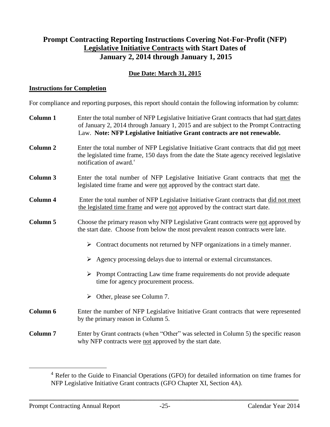### **Prompt Contracting Reporting Instructions Covering Not-For-Profit (NFP) Legislative Initiative Contracts with Start Dates of January 2, 2014 through January 1, 2015**

### **Due Date: March 31, 2015**

#### **Instructions for Completion**

For compliance and reporting purposes, this report should contain the following information by column:

| <b>Column 1</b> | Enter the total number of NFP Legislative Initiative Grant contracts that had start dates<br>of January 2, 2014 through January 1, 2015 and are subject to the Prompt Contracting<br>Law. Note: NFP Legislative Initiative Grant contracts are not renewable. |  |  |  |  |  |  |  |  |  |
|-----------------|---------------------------------------------------------------------------------------------------------------------------------------------------------------------------------------------------------------------------------------------------------------|--|--|--|--|--|--|--|--|--|
| <b>Column 2</b> | Enter the total number of NFP Legislative Initiative Grant contracts that did not meet<br>the legislated time frame, 150 days from the date the State agency received legislative<br>notification of award. <sup>4</sup>                                      |  |  |  |  |  |  |  |  |  |
| <b>Column 3</b> | Enter the total number of NFP Legislative Initiative Grant contracts that met the<br>legislated time frame and were not approved by the contract start date.                                                                                                  |  |  |  |  |  |  |  |  |  |
| <b>Column 4</b> | Enter the total number of NFP Legislative Initiative Grant contracts that did not meet<br>the legislated time frame and were not approved by the contract start date.                                                                                         |  |  |  |  |  |  |  |  |  |
| <b>Column 5</b> | Choose the primary reason why NFP Legislative Grant contracts were not approved by<br>the start date. Choose from below the most prevalent reason contracts were late.                                                                                        |  |  |  |  |  |  |  |  |  |
|                 | Contract documents not returned by NFP organizations in a timely manner.<br>➤                                                                                                                                                                                 |  |  |  |  |  |  |  |  |  |
|                 | Agency processing delays due to internal or external circumstances.                                                                                                                                                                                           |  |  |  |  |  |  |  |  |  |
|                 | $\triangleright$ Prompt Contracting Law time frame requirements do not provide adequate<br>time for agency procurement process.                                                                                                                               |  |  |  |  |  |  |  |  |  |
|                 | $\triangleright$ Other, please see Column 7.                                                                                                                                                                                                                  |  |  |  |  |  |  |  |  |  |
| Column 6        | Enter the number of NFP Legislative Initiative Grant contracts that were represented<br>by the primary reason in Column 5.                                                                                                                                    |  |  |  |  |  |  |  |  |  |
| <b>Column 7</b> | Enter by Grant contracts (when "Other" was selected in Column 5) the specific reason<br>why NFP contracts were not approved by the start date.                                                                                                                |  |  |  |  |  |  |  |  |  |

 $\overline{a}$ 

<sup>4</sup> Refer to the Guide to Financial Operations (GFO) for detailed information on time frames for NFP Legislative Initiative Grant contracts (GFO Chapter XI, Section 4A).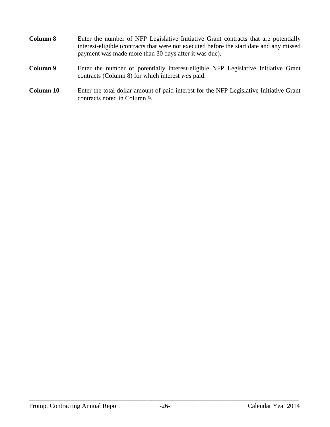| <b>Column 8</b>  | Enter the number of NFP Legislative Initiative Grant contracts that are potentially<br>interest-eligible (contracts that were not executed before the start date and any missed<br>payment was made more than 30 days after it was due). |  |  |  |  |  |
|------------------|------------------------------------------------------------------------------------------------------------------------------------------------------------------------------------------------------------------------------------------|--|--|--|--|--|
| Column 9         | Enter the number of potentially interest-eligible NFP Legislative Initiative Grant<br>contracts (Column 8) for which interest was paid.                                                                                                  |  |  |  |  |  |
| <b>Column 10</b> | Enter the total dollar amount of paid interest for the NFP Legislative Initiative Grant<br>contracts noted in Column 9.                                                                                                                  |  |  |  |  |  |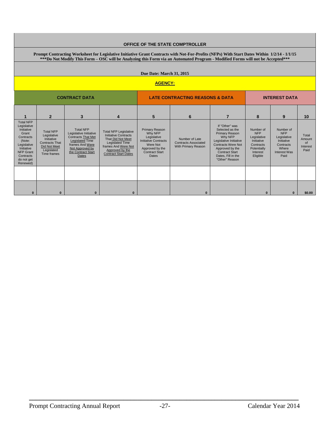| <b>OFFICE OF THE STATE COMPTROLLER</b>                                                                                                                                                                                                                                        |                                                                                                                     |                                                                                                                                                                        |                                                                                                                                                                                     |                                                                                                                                                        |                                                                      |                                                                                                                                                                                                                  |                                                                                                          |                                                                                                           |                                           |  |  |
|-------------------------------------------------------------------------------------------------------------------------------------------------------------------------------------------------------------------------------------------------------------------------------|---------------------------------------------------------------------------------------------------------------------|------------------------------------------------------------------------------------------------------------------------------------------------------------------------|-------------------------------------------------------------------------------------------------------------------------------------------------------------------------------------|--------------------------------------------------------------------------------------------------------------------------------------------------------|----------------------------------------------------------------------|------------------------------------------------------------------------------------------------------------------------------------------------------------------------------------------------------------------|----------------------------------------------------------------------------------------------------------|-----------------------------------------------------------------------------------------------------------|-------------------------------------------|--|--|
| Prompt Contracting Worksheet for Legislative Initiative Grant Contracts with Not-For-Profits (NFPs) With Start Dates Within 1/2/14 - 1/1/15<br>***Do Not Modify This Form – OSC will be Analyzing this Form via an Automated Program - Modified Forms will not be Accepted*** |                                                                                                                     |                                                                                                                                                                        |                                                                                                                                                                                     |                                                                                                                                                        |                                                                      |                                                                                                                                                                                                                  |                                                                                                          |                                                                                                           |                                           |  |  |
| <b>Due Date: March 31, 2015</b>                                                                                                                                                                                                                                               |                                                                                                                     |                                                                                                                                                                        |                                                                                                                                                                                     |                                                                                                                                                        |                                                                      |                                                                                                                                                                                                                  |                                                                                                          |                                                                                                           |                                           |  |  |
| <b>AGENCY:</b>                                                                                                                                                                                                                                                                |                                                                                                                     |                                                                                                                                                                        |                                                                                                                                                                                     |                                                                                                                                                        |                                                                      |                                                                                                                                                                                                                  |                                                                                                          |                                                                                                           |                                           |  |  |
| <b>CONTRACT DATA</b>                                                                                                                                                                                                                                                          |                                                                                                                     |                                                                                                                                                                        |                                                                                                                                                                                     | <b>LATE CONTRACTING REASONS &amp; DATA</b>                                                                                                             |                                                                      |                                                                                                                                                                                                                  | <b>INTEREST DATA</b>                                                                                     |                                                                                                           |                                           |  |  |
|                                                                                                                                                                                                                                                                               | $\overline{2}$                                                                                                      | 3                                                                                                                                                                      | 4                                                                                                                                                                                   | 5                                                                                                                                                      | 6                                                                    | $\overline{7}$                                                                                                                                                                                                   | 8                                                                                                        | 9                                                                                                         | 10                                        |  |  |
| <b>Total NFP</b><br>Legislative<br>Initiative<br>Grant<br>Contracts<br>(Note:<br>Legislative<br>Initiative<br><b>NFP Grant</b><br>Contracts<br>do not get<br>Renewed)                                                                                                         | <b>Total NFP</b><br>Legislative<br>Initiative<br><b>Contracts That</b><br>Did Not Meet<br>Legislated<br>Time frames | <b>Total NFP</b><br>Legislative Initiative<br><b>Contracts That Met</b><br><b>Legislated Time</b><br>frames And Were<br>Not Approved by<br>the Contract Start<br>Dates | <b>Total NFP Legislative</b><br><b>Initiative Contracts</b><br>That Did Not Meet<br><b>Legislated Time</b><br>frames And Were Not<br>Approved by the<br><b>Contract Start Dates</b> | <b>Primary Reason</b><br>Why NFP<br>Legislative<br><b>Initiative Contracts</b><br>Were Not<br>Approved by the<br><b>Contract Start</b><br><b>Dates</b> | Number of Late<br><b>Contracts Associated</b><br>With Primary Reason | If "Other" was<br>Selected as the<br><b>Primary Reason</b><br>Why NFP<br>Legislative Initiative<br><b>Contracts Were Not</b><br>Approved by the<br><b>Contract Start</b><br>Dates. Fill in the<br>"Other" Reason | Number of<br><b>NFP</b><br>Legislative<br>Initiative<br>Contracts<br>Potentially<br>Interest<br>Eligible | Number of<br><b>NFP</b><br>Legislative<br>Initiative<br>Contracts<br>Where<br><b>Interest Was</b><br>Paid | Total<br>Amount<br>of<br>Interest<br>Paid |  |  |
|                                                                                                                                                                                                                                                                               |                                                                                                                     |                                                                                                                                                                        |                                                                                                                                                                                     |                                                                                                                                                        |                                                                      |                                                                                                                                                                                                                  |                                                                                                          |                                                                                                           |                                           |  |  |
| $\bf{0}$                                                                                                                                                                                                                                                                      | $\bf{0}$                                                                                                            | $\bf{0}$                                                                                                                                                               | $\bf{0}$                                                                                                                                                                            |                                                                                                                                                        | $\bf{0}$                                                             |                                                                                                                                                                                                                  | $\bf{0}$                                                                                                 | $\bf{0}$                                                                                                  | \$0.00                                    |  |  |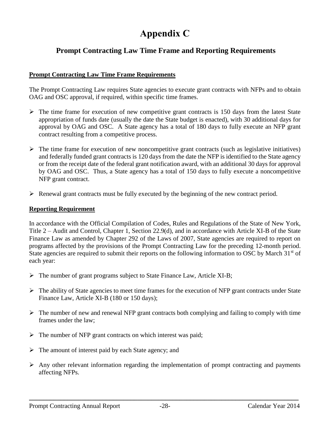# **Appendix C**

### <span id="page-31-0"></span>**Prompt Contracting Law Time Frame and Reporting Requirements**

#### **Prompt Contracting Law Time Frame Requirements**

The Prompt Contracting Law requires State agencies to execute grant contracts with NFPs and to obtain OAG and OSC approval, if required, within specific time frames.

- $\triangleright$  The time frame for execution of new competitive grant contracts is 150 days from the latest State appropriation of funds date (usually the date the State budget is enacted), with 30 additional days for approval by OAG and OSC. A State agency has a total of 180 days to fully execute an NFP grant contract resulting from a competitive process.
- $\triangleright$  The time frame for execution of new noncompetitive grant contracts (such as legislative initiatives) and federally funded grant contracts is 120 days from the date the NFP is identified to the State agency or from the receipt date of the federal grant notification award, with an additional 30 days for approval by OAG and OSC. Thus, a State agency has a total of 150 days to fully execute a noncompetitive NFP grant contract.
- $\triangleright$  Renewal grant contracts must be fully executed by the beginning of the new contract period.

#### **Reporting Requirement**

In accordance with the Official Compilation of Codes, Rules and Regulations of the State of New York, Title 2 – Audit and Control, Chapter 1, Section 22.9(d), and in accordance with Article XI-B of the State Finance Law as amended by Chapter 292 of the Laws of 2007, State agencies are required to report on programs affected by the provisions of the Prompt Contracting Law for the preceding 12-month period. State agencies are required to submit their reports on the following information to OSC by March  $31<sup>st</sup>$  of each year:

- $\triangleright$  The number of grant programs subject to State Finance Law, Article XI-B;
- $\triangleright$  The ability of State agencies to meet time frames for the execution of NFP grant contracts under State Finance Law, Article XI-B (180 or 150 days);
- $\triangleright$  The number of new and renewal NFP grant contracts both complying and failing to comply with time frames under the law;
- $\triangleright$  The number of NFP grant contracts on which interest was paid;
- $\triangleright$  The amount of interest paid by each State agency; and
- $\triangleright$  Any other relevant information regarding the implementation of prompt contracting and payments affecting NFPs.